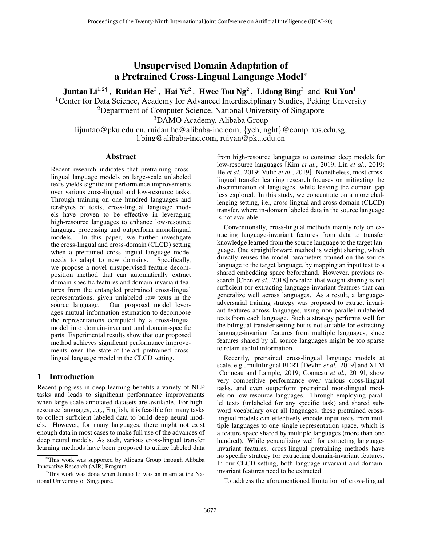# Unsupervised Domain Adaptation of a Pretrained Cross-Lingual Language Model<sup>∗</sup>

Juntao Li $^{1,2\dagger}$  , Ruidan He $^3$  , Hai Ye $^2$  , Hwee Tou Ng $^2$  , Lidong Bing $^3$  and Rui Yan $^1$ 

<sup>1</sup> Center for Data Science, Academy for Advanced Interdisciplinary Studies, Peking University

<sup>2</sup>Department of Computer Science, National University of Singapore

<sup>3</sup>DAMO Academy, Alibaba Group

lijuntao@pku.edu.cn, ruidan.he@alibaba-inc.com, {yeh, nght}@comp.nus.edu.sg, l.bing@alibaba-inc.com, ruiyan@pku.edu.cn

### Abstract

Recent research indicates that pretraining crosslingual language models on large-scale unlabeled texts yields significant performance improvements over various cross-lingual and low-resource tasks. Through training on one hundred languages and terabytes of texts, cross-lingual language models have proven to be effective in leveraging high-resource languages to enhance low-resource language processing and outperform monolingual models. In this paper, we further investigate the cross-lingual and cross-domain (CLCD) setting when a pretrained cross-lingual language model needs to adapt to new domains. Specifically, we propose a novel unsupervised feature decomposition method that can automatically extract domain-specific features and domain-invariant features from the entangled pretrained cross-lingual representations, given unlabeled raw texts in the source language. Our proposed model leverages mutual information estimation to decompose the representations computed by a cross-lingual model into domain-invariant and domain-specific parts. Experimental results show that our proposed method achieves significant performance improvements over the state-of-the-art pretrained crosslingual language model in the CLCD setting.

## 1 Introduction

Recent progress in deep learning benefits a variety of NLP tasks and leads to significant performance improvements when large-scale annotated datasets are available. For highresource languages, e.g., English, it is feasible for many tasks to collect sufficient labeled data to build deep neural models. However, for many languages, there might not exist enough data in most cases to make full use of the advances of deep neural models. As such, various cross-lingual transfer learning methods have been proposed to utilize labeled data

from high-resource languages to construct deep models for low-resource languages [Kim *et al.*[, 2019;](#page-6-0) Lin *et al.*[, 2019;](#page-6-1) He *et al.*[, 2019;](#page-6-2) Vulić *et al.*[, 2019\]](#page-6-3). Nonetheless, most crosslingual transfer learning research focuses on mitigating the discrimination of languages, while leaving the domain gap less explored. In this study, we concentrate on a more challenging setting, i.e., cross-lingual and cross-domain (CLCD) transfer, where in-domain labeled data in the source language is not available.

Conventionally, cross-lingual methods mainly rely on extracting language-invariant features from data to transfer knowledge learned from the source language to the target language. One straightforward method is weight sharing, which directly reuses the model parameters trained on the source language to the target language, by mapping an input text to a shared embedding space beforehand. However, previous research [Chen *et al.*[, 2018\]](#page-6-4) revealed that weight sharing is not sufficient for extracting language-invariant features that can generalize well across languages. As a result, a languageadversarial training strategy was proposed to extract invariant features across languages, using non-parallel unlabeled texts from each language. Such a strategy performs well for the bilingual transfer setting but is not suitable for extracting language-invariant features from multiple languages, since features shared by all source languages might be too sparse to retain useful information.

Recently, pretrained cross-lingual language models at scale, e.g., multilingual BERT [\[Devlin](#page-6-5) *et al.*, 2019] and XLM [\[Conneau and Lample, 2019;](#page-6-6) [Conneau](#page-6-7) *et al.*, 2019], show very competitive performance over various cross-lingual tasks, and even outperform pretrained monolingual models on low-resource languages. Through employing parallel texts (unlabeled for any specific task) and shared subword vocabulary over all languages, these pretrained crosslingual models can effectively encode input texts from multiple languages to one single representation space, which is a feature space shared by multiple languages (more than one hundred). While generalizing well for extracting languageinvariant features, cross-lingual pretraining methods have no specific strategy for extracting domain-invariant features. In our CLCD setting, both language-invariant and domaininvariant features need to be extracted.

To address the aforementioned limitation of cross-lingual

<sup>∗</sup>This work was supported by Alibaba Group through Alibaba Innovative Research (AIR) Program.

<sup>†</sup>This work was done when Juntao Li was an intern at the National University of Singapore.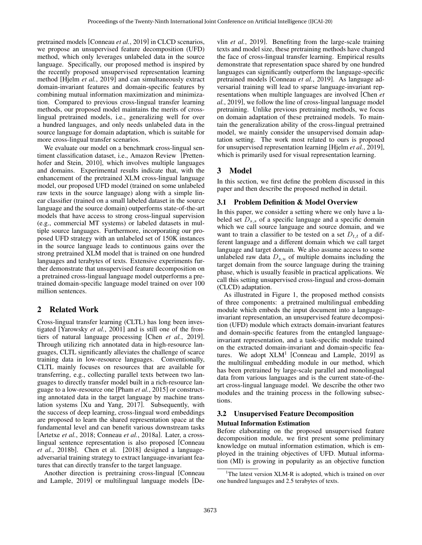pretrained models [\[Conneau](#page-6-7) *et al.*, 2019] in CLCD scenarios, we propose an unsupervised feature decomposition (UFD) method, which only leverages unlabeled data in the source language. Specifically, our proposed method is inspired by the recently proposed unsupervised representation learning method [Hjelm *et al.*[, 2019\]](#page-6-8) and can simultaneously extract domain-invariant features and domain-specific features by combining mutual information maximization and minimization. Compared to previous cross-lingual transfer learning methods, our proposed model maintains the merits of crosslingual pretrained models, i.e., generalizing well for over a hundred languages, and only needs unlabeled data in the source language for domain adaptation, which is suitable for more cross-lingual transfer scenarios.

We evaluate our model on a benchmark cross-lingual sentiment classification dataset, i.e., Amazon Review [\[Pretten](#page-6-9)[hofer and Stein, 2010\]](#page-6-9), which involves multiple languages and domains. Experimental results indicate that, with the enhancement of the pretrained XLM cross-lingual language model, our proposed UFD model (trained on some unlabeled raw texts in the source language) along with a simple linear classifier (trained on a small labeled dataset in the source language and the source domain) outperforms state-of-the-art models that have access to strong cross-lingual supervision (e.g., commercial MT systems) or labeled datasets in multiple source languages. Furthermore, incorporating our proposed UFD strategy with an unlabeled set of 150K instances in the source language leads to continuous gains over the strong pretrained XLM model that is trained on one hundred languages and terabytes of texts. Extensive experiments further demonstrate that unsupervised feature decomposition on a pretrained cross-lingual language model outperforms a pretrained domain-specific language model trained on over 100 million sentences.

## 2 Related Work

Cross-lingual transfer learning (CLTL) has long been investigated [\[Yarowsky](#page-6-10) *et al.*, 2001] and is still one of the frontiers of natural language processing [Chen *et al.*[, 2019\]](#page-6-11). Through utilizing rich annotated data in high-resource languages, CLTL significantly alleviates the challenge of scarce training data in low-resource languages. Conventionally, CLTL mainly focuses on resources that are available for transferring, e.g., collecting parallel texts between two languages to directly transfer model built in a rich-resource language to a low-resource one [Pham *et al.*[, 2015\]](#page-6-12) or constructing annotated data in the target language by machine translation systems [\[Xu and Yang, 2017\]](#page-6-13). Subsequently, with the success of deep learning, cross-lingual word embeddings are proposed to learn the shared representation space at the fundamental level and can benefit various downstream tasks [\[Artetxe](#page-6-14) *et al.*, 2018; [Conneau](#page-6-15) *et al.*, 2018a]. Later, a crosslingual sentence representation is also proposed [\[Conneau](#page-6-16) *et al.*[, 2018b\]](#page-6-16). Chen et al. [\[2018\]](#page-6-4) designed a languageadversarial training strategy to extract language-invariant features that can directly transfer to the target language.

Another direction is pretraining cross-lingual [\[Conneau](#page-6-6) [and Lample, 2019\]](#page-6-6) or multilingual language models [\[De-](#page-6-5) vlin *et al.*[, 2019\]](#page-6-5). Benefiting from the large-scale training texts and model size, these pretraining methods have changed the face of cross-lingual transfer learning. Empirical results demonstrate that representation space shared by one hundred languages can significantly outperform the language-specific pretrained models [\[Conneau](#page-6-7) *et al.*, 2019]. As language adversarial training will lead to sparse language-invariant representations when multiple languages are involved [\[Chen](#page-6-11) *et al.*[, 2019\]](#page-6-11), we follow the line of cross-lingual language model pretraining. Unlike previous pretraining methods, we focus on domain adaptation of these pretrained models. To maintain the generalization ability of the cross-lingual pretrained model, we mainly consider the unsupervised domain adaptation setting. The work most related to ours is proposed for unsupervised representation learning [Hjelm *et al.*[, 2019\]](#page-6-8), which is primarily used for visual representation learning.

# 3 Model

In this section, we first define the problem discussed in this paper and then describe the proposed method in detail.

## 3.1 Problem Definition & Model Overview

In this paper, we consider a setting where we only have a labeled set  $D_{s,s}$  of a specific language and a specific domain which we call source language and source domain, and we want to train a classifier to be tested on a set  $D_{t,t}$  of a different language and a different domain which we call target language and target domain. We also assume access to some unlabeled raw data  $D_{s,u}$  of multiple domains including the target domain from the source language during the training phase, which is usually feasible in practical applications. We call this setting unsupervised cross-lingual and cross-domain (CLCD) adaptation.

As illustrated in Figure [1,](#page-2-0) the proposed method consists of three components: a pretrained multilingual embedding module which embeds the input document into a languageinvariant representation, an unsupervised feature decomposition (UFD) module which extracts domain-invariant features and domain-specific features from the entangled languageinvariant representation, and a task-specific module trained on the extracted domain-invariant and domain-specific features. We adopt  $XLM<sup>1</sup>$  $XLM<sup>1</sup>$  $XLM<sup>1</sup>$  [\[Conneau and Lample, 2019\]](#page-6-6) as the multilingual embedding module in our method, which has been pretrained by large-scale parallel and monolingual data from various languages and is the current state-of-theart cross-lingual language model. We describe the other two modules and the training process in the following subsections.

# 3.2 Unsupervised Feature Decomposition

#### Mutual Information Estimation

Before elaborating on the proposed unsupervised feature decomposition module, we first present some preliminary knowledge on mutual information estimation, which is employed in the training objectives of UFD. Mutual information (MI) is growing in popularity as an objective function

<span id="page-1-0"></span><sup>&</sup>lt;sup>1</sup>The latest version XLM-R is adopted, which is trained on over one hundred languages and 2.5 terabytes of texts.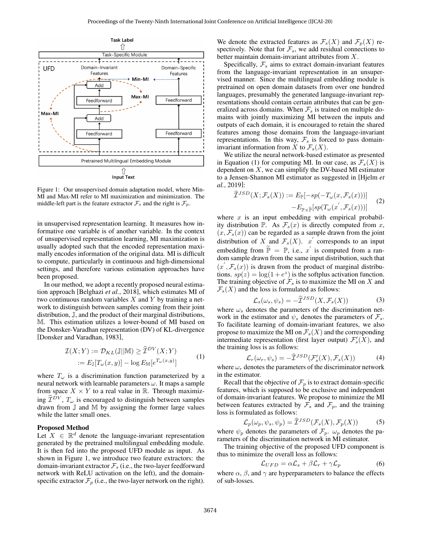<span id="page-2-0"></span>

Figure 1: Our unsupervised domain adaptation model, where Min-MI and Max-MI refer to MI maximization and minimization. The middle-left part is the feature extractor  $\mathcal{F}_s$  and the right is  $\mathcal{F}_p$ .

in unsupervised representation learning. It measures how informative one variable is of another variable. In the context of unsupervised representation learning, MI maximization is usually adopted such that the encoded representation maximally encodes information of the original data. MI is difficult to compute, particularly in continuous and high-dimensional settings, and therefore various estimation approaches have been proposed.

In our method, we adopt a recently proposed neural estimation approach [\[Belghazi](#page-6-17) *et al.*, 2018], which estimates MI of two continuous random variables  $X$  and  $Y$  by training a network to distinguish between samples coming from their joint distribution, J, and the product of their marginal distributions, M. This estimation utilizes a lower-bound of MI based on the Donsker-Varadhan representation (DV) of KL-divergence [\[Donsker and Varadhan, 1983\]](#page-6-18),

$$
\mathcal{I}(X;Y) := \mathcal{D}_{KL}(\mathbb{J}||\mathbb{M}) \ge \widehat{\mathcal{I}}^{DV}(X;Y)
$$
  
 :=  $E_{\mathbb{J}}[T_{\omega}(x,y)] - \log E_{\mathbb{M}}[e^{T_{\omega}(x,y)}]$  (1)

where  $T_{\omega}$  is a discrimination function parameterized by a neural network with learnable parameters  $\omega$ . It maps a sample from space  $X \times Y$  to a real value in R. Through maximizing  $\widehat{\mathcal{I}}^{DV}$ ,  $T_{\omega}$  is encouraged to distinguish between samples drawn from J and M by assigning the former large values while the latter small ones.

#### Proposed Method

Let  $X \in \mathbb{R}^d$  denote the language-invariant representation generated by the pretrained multilingual embedding module. It is then fed into the proposed UFD module as input. As shown in Figure [1,](#page-2-0) we introduce two feature extractors: the domain-invariant extractor  $\mathcal{F}_s$  (i.e., the two-layer feedforward network with ReLU activation on the left), and the domainspecific extractor  $\mathcal{F}_p$  (i.e., the two-layer network on the right). We denote the extracted features as  $\mathcal{F}_s(X)$  and  $\mathcal{F}_p(X)$  respectively. Note that for  $\mathcal{F}_s$ , we add residual connections to better maintain domain-invariant attributes from X.

Specifically,  $\mathcal{F}_s$  aims to extract domain-invariant features from the language-invariant representation in an unsupervised manner. Since the multilingual embedding module is pretrained on open domain datasets from over one hundred languages, presumably the generated language-invariant representations should contain certain attributes that can be generalized across domains. When  $\mathcal{F}_s$  is trained on multiple domains with jointly maximizing MI between the inputs and outputs of each domain, it is encouraged to retain the shared features among those domains from the language-invariant representations. In this way,  $\mathcal{F}_s$  is forced to pass domaininvariant information from X to  $\mathcal{F}_s(X)$ .

We utilize the neural network-based estimator as presented in Equation (1) for computing MI. In our case, as  $\mathcal{F}_s(X)$  is dependent on  $X$ , we can simplify the DV-based MI estimator to a Jensen-Shannon MI estimator as suggested in [\[Hjelm](#page-6-8) *et al.*[, 2019\]](#page-6-8):

$$
\hat{\mathcal{I}}^{JSD}(X; \mathcal{F}_s(X)) := E_{\mathbb{P}}[-sp(-T_{\omega}(x, \mathcal{F}_s(x)))] -E_{\mathbb{P}\times\widetilde{\mathbb{P}}}[sp(T_{\omega}(x^{'}, \mathcal{F}_s(x)))] \tag{2}
$$

where  $x$  is an input embedding with empirical probability distribution  $\mathbb{P}$ . As  $\mathcal{F}_s(x)$  is directly computed from x,  $(x, \mathcal{F}_s(x))$  can be regarded as a sample drawn from the joint distribution of X and  $\mathcal{F}_s(X)$ . x' corresponds to an input embedding from  $\widetilde{\mathbb{P}} = \mathbb{P}$ , i.e., x' is computed from a random sample drawn from the same input distribution, such that  $(x', \mathcal{F}_s(x))$  is drawn from the product of marginal distributions.  $sp(z) = \log(1 + e^z)$  is the softplus activation function. The training objective of  $\mathcal{F}_s$  is to maximize the MI on X and  $\mathcal{F}_s(X)$  and the loss is formulated as follows:

$$
\mathcal{L}_s(\omega_s, \psi_s) = -\widehat{\mathcal{I}}^{JSD}(X, \mathcal{F}_s(X))\tag{3}
$$

where  $\omega_s$  denotes the parameters of the discrimination network in the estimator and  $\psi_s$  denotes the parameters of  $\mathcal{F}_s$ . To facilitate learning of domain-invariant features, we also propose to maximize the MI on  $\mathcal{F}_s(X)$  and the corresponding intermediate representation (first layer output)  $\mathcal{F}'_s(X)$ , and the training loss is as follows:

$$
\mathcal{L}_r(\omega_r, \psi_s) = -\widehat{\mathcal{I}}^{JSD}(\mathcal{F}'_s(X), \mathcal{F}_s(X))
$$
(4)

where  $\omega_r$  denotes the parameters of the discriminator network in the estimator.

Recall that the objective of  $\mathcal{F}_p$  is to extract domain-specific features, which is supposed to be exclusive and independent of domain-invariant features. We propose to minimize the MI between features extracted by  $\mathcal{F}_s$  and  $\mathcal{F}_p$ , and the training loss is formulated as follows:

$$
\mathcal{L}_p(\omega_p, \psi_s, \psi_p) = \widehat{\mathcal{I}}^{JSD}(\mathcal{F}_s(X), \mathcal{F}_p(X))
$$
 (5)

where  $\psi_p$  denotes the parameters of  $\mathcal{F}_p$ .  $\omega_p$  denotes the parameters of the discrimination network in MI estimator.

The training objective of the proposed UFD component is thus to minimize the overall loss as follows:

$$
\mathcal{L}_{UFD} = \alpha \mathcal{L}_s + \beta \mathcal{L}_r + \gamma \mathcal{L}_p \tag{6}
$$

where  $\alpha$ ,  $\beta$ , and  $\gamma$  are hyperparameters to balance the effects of sub-losses.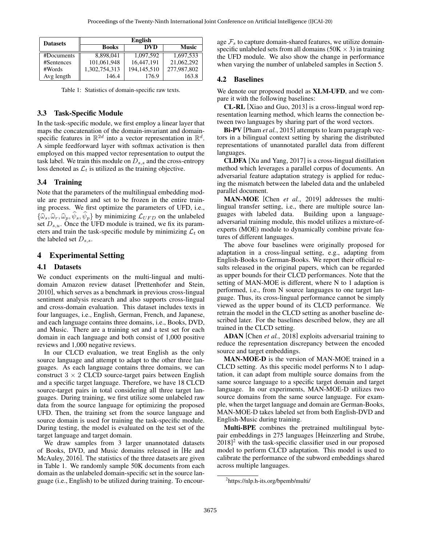<span id="page-3-0"></span>

| <b>Datasets</b> | <b>English</b> |             |              |  |  |  |  |  |  |  |
|-----------------|----------------|-------------|--------------|--|--|--|--|--|--|--|
|                 | <b>Books</b>   | <b>DVD</b>  | <b>Music</b> |  |  |  |  |  |  |  |
| #Documents      | 8.898.041      | 1,097,592   | 1.697.533    |  |  |  |  |  |  |  |
| #Sentences      | 101,061,948    | 16.447.191  | 21,062,292   |  |  |  |  |  |  |  |
| #Words          | 1,302,754,313  | 194.145.510 | 277,987,802  |  |  |  |  |  |  |  |
| Avg length      | 146.4          | 176.9       | 163.8        |  |  |  |  |  |  |  |

Table 1: Statistics of domain-specific raw texts.

#### 3.3 Task-Specific Module

In the task-specific module, we first employ a linear layer that maps the concatenation of the domain-invariant and domainspecific features in  $\mathbb{R}^{2d}$  into a vector representation in  $\mathbb{R}^d$ . A simple feedforward layer with softmax activation is then employed on this mapped vector representation to output the task label. We train this module on  $D_{s,s}$  and the cross-entropy loss denoted as  $\mathcal{L}_t$  is utilized as the training objective.

#### 3.4 Training

Note that the parameters of the multilingual embedding module are pretrained and set to be frozen in the entire training process. We first optimize the parameters of UFD, i.e.,  $\{\widehat{\omega}_s, \widehat{\omega}_r, \widehat{\omega}_p, \psi_s, \psi_p\}$  by minimizing  $\mathcal{L}_{UFD}$  on the unlabeled set  $D_{s,u}$ . Once the UFD module is trained, we fix its parameters and train the task-specific module by minimizing  $\mathcal{L}_t$  on the labeled set  $D_{s,s}$ .

## 4 Experimental Setting

#### 4.1 Datasets

We conduct experiments on the multi-lingual and multidomain Amazon review dataset [\[Prettenhofer and Stein,](#page-6-9) [2010\]](#page-6-9), which serves as a benchmark in previous cross-lingual sentiment analysis research and also supports cross-lingual and cross-domain evaluation. This dataset includes texts in four languages, i.e., English, German, French, and Japanese, and each language contains three domains, i.e., Books, DVD, and Music. There are a training set and a test set for each domain in each language and both consist of 1,000 positive reviews and 1,000 negative reviews.

In our CLCD evaluation, we treat English as the only source language and attempt to adapt to the other three languages. As each language contains three domains, we can construct  $3 \times 2$  CLCD source-target pairs between English and a specific target language. Therefore, we have 18 CLCD source-target pairs in total considering all three target languages. During training, we first utilize some unlabeled raw data from the source language for optimizing the proposed UFD. Then, the training set from the source language and source domain is used for training the task-specific module. During testing, the model is evaluated on the test set of the target language and target domain.

We draw samples from 3 larger unannotated datasets of Books, DVD, and Music domains released in [\[He and](#page-6-19) [McAuley, 2016\]](#page-6-19). The statistics of the three datasets are given in Table [1.](#page-3-0) We randomly sample 50K documents from each domain as the unlabeled domain-specific set in the source language (i.e., English) to be utilized during training. To encourage  $\mathcal{F}_s$  to capture domain-shared features, we utilize domainspecific unlabeled sets from all domains ( $50K \times 3$ ) in training the UFD module. We also show the change in performance when varying the number of unlabeled samples in Section 5.

### 4.2 Baselines

We denote our proposed model as XLM-UFD, and we compare it with the following baselines:

CL-RL [\[Xiao and Guo, 2013\]](#page-6-20) is a cross-lingual word representation learning method, which learns the connection between two languages by sharing part of the word vectors.

Bi-PV [Pham *et al.*[, 2015\]](#page-6-12) attempts to learn paragraph vectors in a bilingual context setting by sharing the distributed representations of unannotated parallel data from different languages.

CLDFA [\[Xu and Yang, 2017\]](#page-6-13) is a cross-lingual distillation method which leverages a parallel corpus of documents. An adversarial feature adaptation strategy is applied for reducing the mismatch between the labeled data and the unlabeled parallel document.

MAN-MOE [Chen *et al.*[, 2019\]](#page-6-11) addresses the multilingual transfer setting, i.e., there are multiple source languages with labeled data. Building upon a languageadversarial training module, this model utilizes a mixture-ofexperts (MOE) module to dynamically combine private features of different languages.

The above four baselines were originally proposed for adaptation in a cross-lingual setting, e.g., adapting from English-Books to German-Books. We report their official results released in the original papers, which can be regarded as upper bounds for their CLCD performances. Note that the setting of MAN-MOE is different, where N to 1 adaption is performed, i.e., from N source languages to one target language. Thus, its cross-lingual performance cannot be simply viewed as the upper bound of its CLCD performance. We retrain the model in the CLCD setting as another baseline described later. For the baselines described below, they are all trained in the CLCD setting.

ADAN [Chen *et al.*[, 2018\]](#page-6-4) exploits adversarial training to reduce the representation discrepancy between the encoded source and target embeddings.

MAN-MOE-D is the version of MAN-MOE trained in a CLCD setting. As this specific model performs N to 1 adaptation, it can adapt from multiple source domains from the same source language to a specific target domain and target language. In our experiments, MAN-MOE-D utilizes two source domains from the same source language. For example, when the target language and domain are German-Books, MAN-MOE-D takes labeled set from both English-DVD and English-Music during training.

Multi-BPE combines the pretrained multilingual bytepair embeddings in 275 languages [\[Heinzerling and Strube,](#page-6-21) [2018\]](#page-6-21)<sup>[2](#page-3-1)</sup> with the task-specific classifier used in our proposed model to perform CLCD adaptation. This model is used to calibrate the performance of the subword embeddings shared across multiple languages.

<span id="page-3-1"></span><sup>2</sup> https://nlp.h-its.org/bpemb/multi/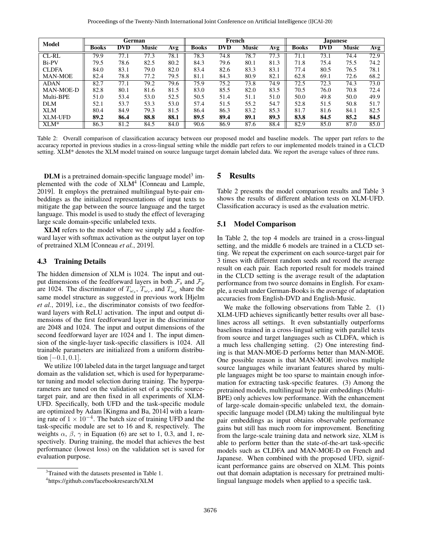<span id="page-4-2"></span>

| Model          | German       |            |       |      |       | French     |       |      | Japanese     |            |              |      |  |
|----------------|--------------|------------|-------|------|-------|------------|-------|------|--------------|------------|--------------|------|--|
|                | <b>Books</b> | <b>DVD</b> | Music | Avg  | Books | <b>DVD</b> | Music | Avg  | <b>Books</b> | <b>DVD</b> | <b>Music</b> | Avg  |  |
| CL-RL          | 79.9         | 77.1       | 77.3  | 78.1 | 78.3  | 74.8       | 78.7  | 77.3 | 71.1         | 73.1       | 74.4         | 72.9 |  |
| Bi-PV          | 79.5         | 78.6       | 82.5  | 80.2 | 84.3  | 79.6       | 80.1  | 81.3 | 71.8         | 75.4       | 75.5         | 74.2 |  |
| <b>CLDFA</b>   | 84.0         | 83.1       | 79.0  | 82.0 | 83.4  | 82.6       | 83.3  | 83.1 | 77.4         | 80.5       | 76.5         | 78.1 |  |
| <b>MAN-MOE</b> | 82.4         | 78.8       | 77.2  | 79.5 | 81.1  | 84.3       | 80.9  | 82.1 | 62.8         | 69.1       | 72.6         | 68.2 |  |
| <b>ADAN</b>    | 82.7         | 77.1       | 79.2  | 79.6 | 75.9  | 75.2       | 73.8  | 74.9 | 72.5         | 72.3       | 74.3         | 73.0 |  |
| MAN-MOE-D      | 82.8         | 80.1       | 81.6  | 81.5 | 83.0  | 85.5       | 82.0  | 83.5 | 70.5         | 76.0       | 70.8         | 72.4 |  |
| Multi-BPE      | 51.0         | 53.4       | 53.0  | 52.5 | 50.5  | 51.4       | 51.1  | 51.0 | 50.0         | 49.8       | 50.0         | 49.9 |  |
| <b>DLM</b>     | 52.1         | 53.7       | 53.3  | 53.0 | 57.4  | 51.5       | 55.2  | 54.7 | 52.8         | 51.5       | 50.8         | 51.7 |  |
| <b>XLM</b>     | 80.4         | 84.9       | 79.3  | 81.5 | 86.4  | 86.3       | 83.2  | 85.3 | 81.7         | 81.6       | 84.1         | 82.5 |  |
| <b>XLM-UFD</b> | 89.2         | 86.4       | 88.8  | 88.1 | 89.5  | 89.4       | 89.1  | 89.3 | 83.8         | 84.5       | 85.2         | 84.5 |  |
| $XLM^*$        | 86.3         | 81.2       | 84.5  | 84.0 | 90.6  | 86.9       | 87.6  | 88.4 | 82.9         | 85.0       | 87.0         | 85.0 |  |

Table 2: Overall comparison of classification accuracy between our proposed model and baseline models. The upper part refers to the accuracy reported in previous studies in a cross-lingual setting while the middle part refers to our implemented models trained in a CLCD setting. XLM\* denotes the XLM model trained on source language target domain labeled data. We report the average values of three runs.

DLM is a pretrained domain-specific language model<sup>[3](#page-4-0)</sup> im-plemented with the code of XLM<sup>[4](#page-4-1)</sup> [\[Conneau and Lample,](#page-6-6) [2019\]](#page-6-6). It employs the pretrained multilingual byte-pair embeddings as the initialized representations of input texts to mitigate the gap between the source language and the target language. This model is used to study the effect of leveraging large scale domain-specific unlabeled texts.

XLM refers to the model where we simply add a feedforward layer with softmax activation as the output layer on top of pretrained XLM [\[Conneau](#page-6-7) *et al.*, 2019].

#### 4.3 Training Details

The hidden dimension of XLM is 1024. The input and output dimensions of the feedforward layers in both  $\mathcal{F}_s$  and  $\mathcal{F}_p$ are 1024. The discriminator of  $T_{\omega_s}$ ,  $T_{\omega_r}$ , and  $T_{\omega_p}$  share the same model structure as suggested in previous work [\[Hjelm](#page-6-8) *et al.*[, 2019\]](#page-6-8), i.e., the discriminator consists of two feedforward layers with ReLU activation. The input and output dimensions of the first feedforward layer in the discriminator are 2048 and 1024. The input and output dimensions of the second feedforward layer are 1024 and 1. The input dimension of the single-layer task-specific classifiers is 1024. All trainable parameters are initialized from a uniform distribution  $[-0.1, 0.1]$ .

We utilize 100 labeled data in the target language and target domain as the validation set, which is used for hyperparameter tuning and model selection during training. The hyperparameters are tuned on the validation set of a specific sourcetarget pair, and are then fixed in all experiments of XLM-UFD. Specifically, both UFD and the task-specific module are optimized by Adam [\[Kingma and Ba, 2014\]](#page-6-22) with a learning rate of  $1 \times 10^{-4}$ . The batch size of training UFD and the task-specific module are set to 16 and 8, respectively. The weights  $\alpha$ ,  $\beta$ ,  $\gamma$  in Equation (6) are set to 1, 0.3, and 1, respectively. During training, the model that achieves the best performance (lowest loss) on the validation set is saved for evaluation purpose.

#### 5 Results

Table [2](#page-4-2) presents the model comparison results and Table [3](#page-5-0) shows the results of different ablation tests on XLM-UFD. Classification accuracy is used as the evaluation metric.

#### 5.1 Model Comparison

In Table 2, the top 4 models are trained in a cross-lingual setting, and the middle 6 models are trained in a CLCD setting. We repeat the experiment on each source-target pair for 3 times with different random seeds and record the average result on each pair. Each reported result for models trained in the CLCD setting is the average result of the adaptation performance from two source domains in English. For example, a result under German-Books is the average of adaptation accuracies from English-DVD and English-Music.

We make the following observations from Table 2. (1) XLM-UFD achieves significantly better results over all baselines across all settings. It even substantially outperforms baselines trained in a cross-lingual setting with parallel texts from source and target languages such as CLDFA, which is a much less challenging setting. (2) One interesting finding is that MAN-MOE-D performs better than MAN-MOE. One possible reason is that MAN-MOE involves multiple source languages while invariant features shared by multiple languages might be too sparse to maintain enough information for extracting task-specific features. (3) Among the pretrained models, multilingual byte pair embeddings (Multi-BPE) only achieves low performance. With the enhancement of large-scale domain-specific unlabeled text, the domainspecific language model (DLM) taking the multilingual byte pair embeddings as input obtains observable performance gains but still has much room for improvement. Benefiting from the large-scale training data and network size, XLM is able to perform better than the state-of-the-art task-specific models such as CLDFA and MAN-MOE-D on French and Japanese. When combined with the proposed UFD, significant performance gains are observed on XLM. This points out that domain adaptation is necessary for pretrained multilingual language models when applied to a specific task.

<span id="page-4-0"></span><sup>&</sup>lt;sup>3</sup>Trained with the datasets presented in Table 1.

<span id="page-4-1"></span><sup>4</sup> https://github.com/facebookresearch/XLM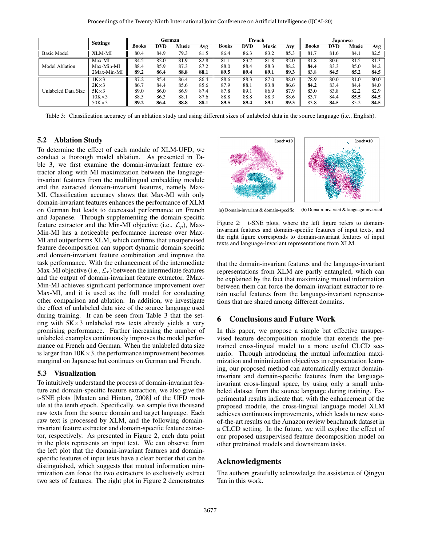<span id="page-5-0"></span>

|                     | <b>Settings</b> | German       |            |              | French |              |            |       | <b>Japanese</b> |              |            |       |      |
|---------------------|-----------------|--------------|------------|--------------|--------|--------------|------------|-------|-----------------|--------------|------------|-------|------|
|                     |                 | <b>Books</b> | <b>DVD</b> | <b>Music</b> | Avg    | <b>Books</b> | <b>DVD</b> | Music | Avg             | <b>Books</b> | <b>DVD</b> | Music | Avg  |
| <b>Basic Model</b>  | <b>XLM-MI</b>   | 80.4         | 84.9       | 79.3         | 81.5   | 86.4         | 86.3       | 83.2  | 85.3            | 81.7         | 81.6       | 84.1  | 82.5 |
| Model Ablation      | Max-MI          | 84.5         | 82.0       | 81.9         | 82.8   | 81.1         | 83.2       | 81.8  | 82.0            | 81.8         | 80.6       | 81.5  | 81.3 |
|                     | Max-Min-MI      | 88.4         | 85.9       | 87.3         | 87.2   | 88.0         | 88.4       | 88.3  | 88.2            | 84.4         | 83.3       | 85.0  | 84.2 |
|                     | 2Max-Min-MI     | 89.2         | 86.4       | 88.8         | 88.1   | 89.5         | 89.4       | 89.1  | 89.3            | 83.8         | 84.5       | 85.2  | 84.5 |
| Unlabeled Data Size | $1K \times 3$   | 87.2         | 85.4       | 86.4         | 86.4   | 88.6         | 88.3       | 87.0  | 88.0            | 78.9         | 80.0       | 81.0  | 80.0 |
|                     | $2K \times 3$   | 86.7         | 84.4       | 85.6         | 85.6   | 87.9         | 88.1       | 83.8  | 86.6            | 84.2         | 83.4       | 84.4  | 84.0 |
|                     | $5K \times 3$   | 89.0         | 86.0       | 86.9         | 87.4   | 87.8         | 89.1       | 86.9  | 87.9            | 83.0         | 83.8       | 82.2  | 82.9 |
|                     | $10K \times 3$  | 88.5         | 86.3       | 88.1         | 87.6   | 88.8         | 88.8       | 88.3  | 88.6            | 83.7         | 84.4       | 85.5  | 84.5 |
|                     | $50K \times 3$  | 89.2         | 86.4       | 88.8         | 88.1   | 89.5         | 89.4       | 89.1  | 89.3            | 83.8         | 84.5       | 85.2  | 84.5 |

Table 3: Classification accuracy of an ablation study and using different sizes of unlabeled data in the source language (i.e., English).

## 5.2 Ablation Study

To determine the effect of each module of XLM-UFD, we conduct a thorough model ablation. As presented in Table [3,](#page-5-0) we first examine the domain-invariant feature extractor along with MI maximization between the languageinvariant features from the multilingual embedding module and the extracted domain-invariant features, namely Max-MI. Classification accuracy shows that Max-MI with only domain-invariant features enhances the performance of XLM on German but leads to decreased performance on French and Japanese. Through supplementing the domain-specific feature extractor and the Min-MI objective (i.e.,  $\mathcal{L}_p$ ), Max-Min-MI has a noticeable performance increase over Max-MI and outperforms XLM, which confirms that unsupervised feature decomposition can support dynamic domain-specific and domain-invariant feature combination and improve the task performance. With the enhancement of the intermediate Max-MI objective (i.e.,  $\mathcal{L}_r$ ) between the intermediate features and the output of domain-invariant feature extractor, 2Max-Min-MI achieves significant performance improvement over Max-MI, and it is used as the full model for conducting other comparison and ablation. In addition, we investigate the effect of unlabeled data size of the source language used during training. It can be seen from Table [3](#page-5-0) that the setting with  $5K \times 3$  unlabeled raw texts already yields a very promising performance. Further increasing the number of unlabeled examples continuously improves the model performance on French and German. When the unlabeled data size is larger than  $10K \times 3$ , the performance improvement becomes marginal on Japanese but continues on German and French.

#### 5.3 Visualization

To intuitively understand the process of domain-invariant feature and domain-specific feature extraction, we also give the t-SNE plots [\[Maaten and Hinton, 2008\]](#page-6-23) of the UFD module at the tenth epoch. Specifically, we sample five thousand raw texts from the source domain and target language. Each raw text is processed by XLM, and the following domaininvariant feature extractor and domain-specific feature extractor, respectively. As presented in Figure [2,](#page-5-1) each data point in the plots represents an input text. We can observe from the left plot that the domain-invariant features and domainspecific features of input texts have a clear border that can be distinguished, which suggests that mutual information minimization can force the two extractors to exclusively extract two sets of features. The right plot in Figure [2](#page-5-1) demonstrates



<span id="page-5-1"></span>

(a) Domain-invariant & domain-specific

(b) Domain-invariant & language-invariant

Figure 2: t-SNE plots, where the left figure refers to domaininvariant features and domain-specific features of input texts, and the right figure corresponds to domain-invariant features of input texts and language-invariant representations from XLM.

that the domain-invariant features and the language-invariant representations from XLM are partly entangled, which can be explained by the fact that maximizing mutual information between them can force the domain-invariant extractor to retain useful features from the language-invariant representations that are shared among different domains.

## 6 Conclusions and Future Work

In this paper, we propose a simple but effective unsupervised feature decomposition module that extends the pretrained cross-lingual model to a more useful CLCD scenario. Through introducing the mutual information maximization and minimization objectives in representation learning, our proposed method can automatically extract domaininvariant and domain-specific features from the languageinvariant cross-lingual space, by using only a small unlabeled dataset from the source language during training. Experimental results indicate that, with the enhancement of the proposed module, the cross-lingual language model XLM achieves continuous improvements, which leads to new stateof-the-art results on the Amazon review benchmark dataset in a CLCD setting. In the future, we will explore the effect of our proposed unsupervised feature decomposition model on other pretrained models and downstream tasks.

## Acknowledgments

The authors gratefully acknowledge the assistance of Qingyu Tan in this work.